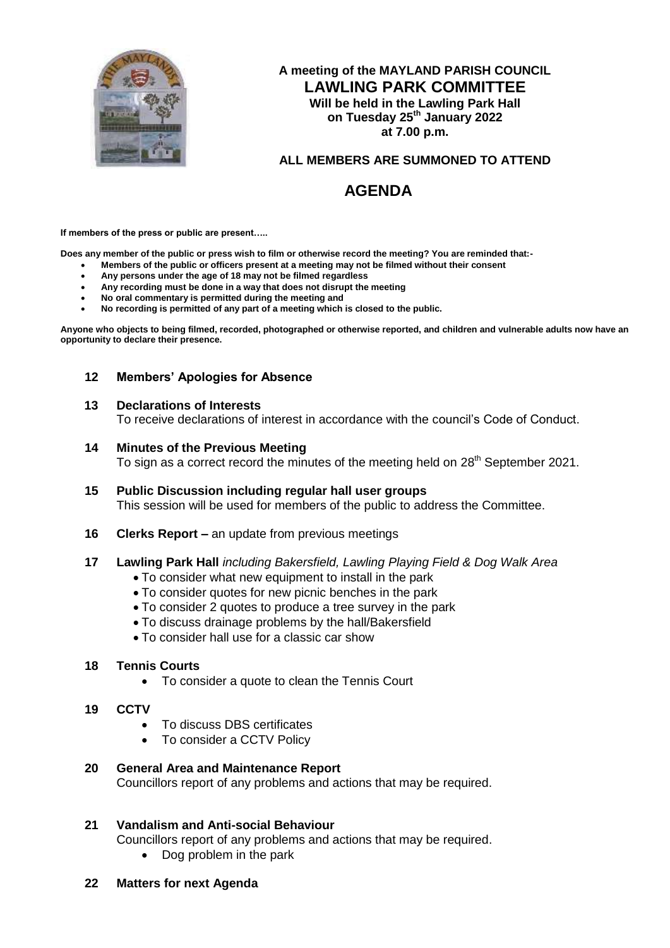

# **A meeting of the MAYLAND PARISH COUNCIL LAWLING PARK COMMITTEE Will be held in the Lawling Park Hall on Tuesday 25th January 2022 at 7.00 p.m.**

# **ALL MEMBERS ARE SUMMONED TO ATTEND**

# **AGENDA**

**If members of the press or public are present…..**

**Does any member of the public or press wish to film or otherwise record the meeting? You are reminded that:-**

- **Members of the public or officers present at a meeting may not be filmed without their consent**
- **Any persons under the age of 18 may not be filmed regardless**
- **Any recording must be done in a way that does not disrupt the meeting**
- **No oral commentary is permitted during the meeting and**
- **No recording is permitted of any part of a meeting which is closed to the public.**

**Anyone who objects to being filmed, recorded, photographed or otherwise reported, and children and vulnerable adults now have an opportunity to declare their presence.**

### **12 Members' Apologies for Absence**

#### **13 Declarations of Interests**

To receive declarations of interest in accordance with the council's Code of Conduct.

#### **14 Minutes of the Previous Meeting**

To sign as a correct record the minutes of the meeting held on 28<sup>th</sup> September 2021.

- **15 Public Discussion including regular hall user groups** This session will be used for members of the public to address the Committee.
- **16 Clerks Report –** an update from previous meetings

### **17 Lawling Park Hall** *including Bakersfield, Lawling Playing Field & Dog Walk Area*

- To consider what new equipment to install in the park
- To consider quotes for new picnic benches in the park
- To consider 2 quotes to produce a tree survey in the park
- To discuss drainage problems by the hall/Bakersfield
- To consider hall use for a classic car show

### **18 Tennis Courts**

- To consider a quote to clean the Tennis Court
- **19 CCTV**
	- To discuss DBS certificates
	- To consider a CCTV Policy

## **20 General Area and Maintenance Report** Councillors report of any problems and actions that may be required.

### **21 Vandalism and Anti-social Behaviour**

Councillors report of any problems and actions that may be required.

Dog problem in the park

### **22 Matters for next Agenda**